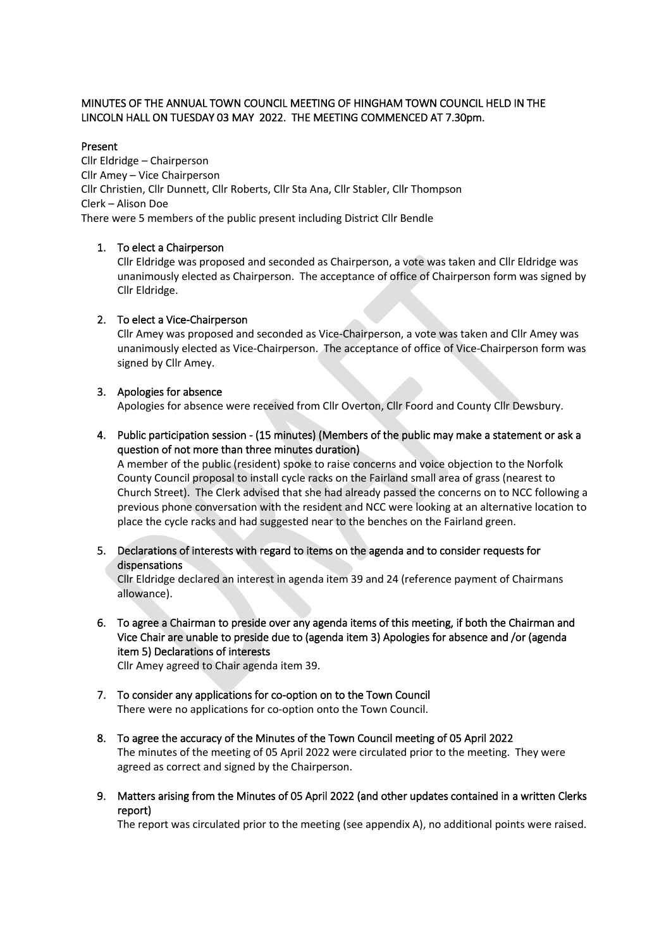## MINUTES OF THE ANNUAL TOWN COUNCIL MEETING OF HINGHAM TOWN COUNCIL HELD IN THE LINCOLN HALL ON TUESDAY 03 MAY 2022. THE MEETING COMMENCED AT 7.30pm.

## Present

Cllr Eldridge – Chairperson Cllr Amey – Vice Chairperson Cllr Christien, Cllr Dunnett, Cllr Roberts, Cllr Sta Ana, Cllr Stabler, Cllr Thompson Clerk – Alison Doe There were 5 members of the public present including District Cllr Bendle

## 1. To elect a Chairperson

Cllr Eldridge was proposed and seconded as Chairperson, a vote was taken and Cllr Eldridge was unanimously elected as Chairperson. The acceptance of office of Chairperson form was signed by Cllr Eldridge.

## 2. To elect a Vice-Chairperson

Cllr Amey was proposed and seconded as Vice-Chairperson, a vote was taken and Cllr Amey was unanimously elected as Vice-Chairperson. The acceptance of office of Vice-Chairperson form was signed by Cllr Amey.

## 3. Apologies for absence

Apologies for absence were received from Cllr Overton, Cllr Foord and County Cllr Dewsbury.

4. Public participation session - (15 minutes) (Members of the public may make a statement or ask a question of not more than three minutes duration)

A member of the public (resident) spoke to raise concerns and voice objection to the Norfolk County Council proposal to install cycle racks on the Fairland small area of grass (nearest to Church Street). The Clerk advised that she had already passed the concerns on to NCC following a previous phone conversation with the resident and NCC were looking at an alternative location to place the cycle racks and had suggested near to the benches on the Fairland green.

## 5. Declarations of interests with regard to items on the agenda and to consider requests for dispensations

Cllr Eldridge declared an interest in agenda item 39 and 24 (reference payment of Chairmans allowance).

6. To agree a Chairman to preside over any agenda items of this meeting, if both the Chairman and Vice Chair are unable to preside due to (agenda item 3) Apologies for absence and /or (agenda item 5) Declarations of interests

Cllr Amey agreed to Chair agenda item 39.

- 7. To consider any applications for co-option on to the Town Council There were no applications for co-option onto the Town Council.
- 8. To agree the accuracy of the Minutes of the Town Council meeting of 05 April 2022 The minutes of the meeting of 05 April 2022 were circulated prior to the meeting. They were agreed as correct and signed by the Chairperson.
- 9. Matters arising from the Minutes of 05 April 2022 (and other updates contained in a written Clerks report)

The report was circulated prior to the meeting (see appendix A), no additional points were raised.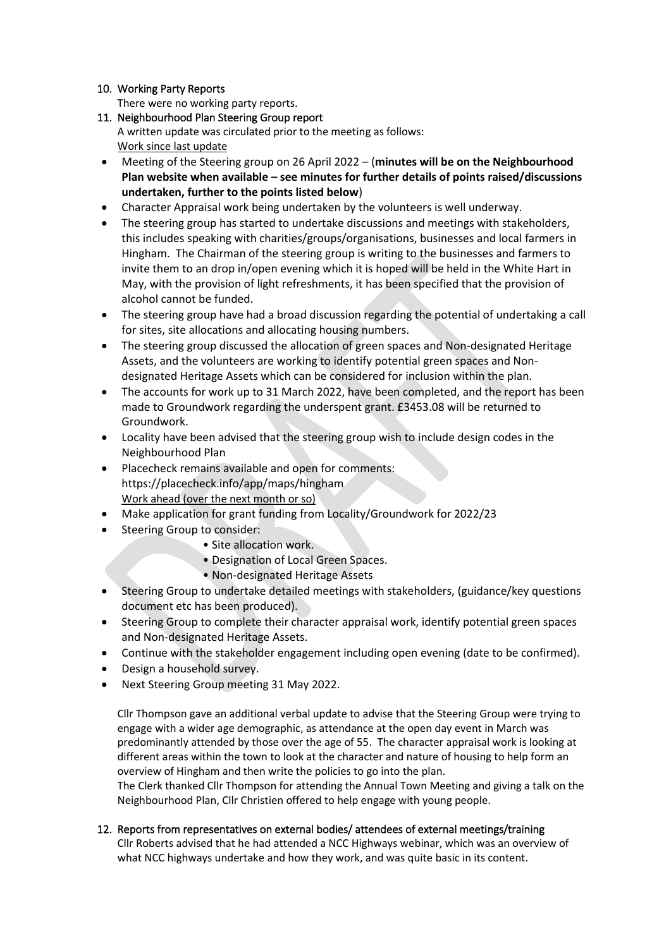## 10. Working Party Reports

There were no working party reports.

11. Neighbourhood Plan Steering Group report

A written update was circulated prior to the meeting as follows: Work since last update

- Meeting of the Steering group on 26 April 2022 (**minutes will be on the Neighbourhood Plan website when available – see minutes for further details of points raised/discussions undertaken, further to the points listed below**)
- Character Appraisal work being undertaken by the volunteers is well underway.
- The steering group has started to undertake discussions and meetings with stakeholders, this includes speaking with charities/groups/organisations, businesses and local farmers in Hingham. The Chairman of the steering group is writing to the businesses and farmers to invite them to an drop in/open evening which it is hoped will be held in the White Hart in May, with the provision of light refreshments, it has been specified that the provision of alcohol cannot be funded.
- The steering group have had a broad discussion regarding the potential of undertaking a call for sites, site allocations and allocating housing numbers.
- The steering group discussed the allocation of green spaces and Non-designated Heritage Assets, and the volunteers are working to identify potential green spaces and Nondesignated Heritage Assets which can be considered for inclusion within the plan.
- The accounts for work up to 31 March 2022, have been completed, and the report has been made to Groundwork regarding the underspent grant. £3453.08 will be returned to Groundwork.
- Locality have been advised that the steering group wish to include design codes in the Neighbourhood Plan
- Placecheck remains available and open for comments: https://placecheck.info/app/maps/hingham Work ahead (over the next month or so)
- Make application for grant funding from Locality/Groundwork for 2022/23
- Steering Group to consider:
	- Site allocation work.
	- Designation of Local Green Spaces.
	- Non-designated Heritage Assets
- Steering Group to undertake detailed meetings with stakeholders, (guidance/key questions document etc has been produced).
- Steering Group to complete their character appraisal work, identify potential green spaces and Non-designated Heritage Assets.
- Continue with the stakeholder engagement including open evening (date to be confirmed).
- Design a household survey.
- Next Steering Group meeting 31 May 2022.

Cllr Thompson gave an additional verbal update to advise that the Steering Group were trying to engage with a wider age demographic, as attendance at the open day event in March was predominantly attended by those over the age of 55. The character appraisal work is looking at different areas within the town to look at the character and nature of housing to help form an overview of Hingham and then write the policies to go into the plan.

The Clerk thanked Cllr Thompson for attending the Annual Town Meeting and giving a talk on the Neighbourhood Plan, Cllr Christien offered to help engage with young people.

12. Reports from representatives on external bodies/ attendees of external meetings/training Cllr Roberts advised that he had attended a NCC Highways webinar, which was an overview of what NCC highways undertake and how they work, and was quite basic in its content.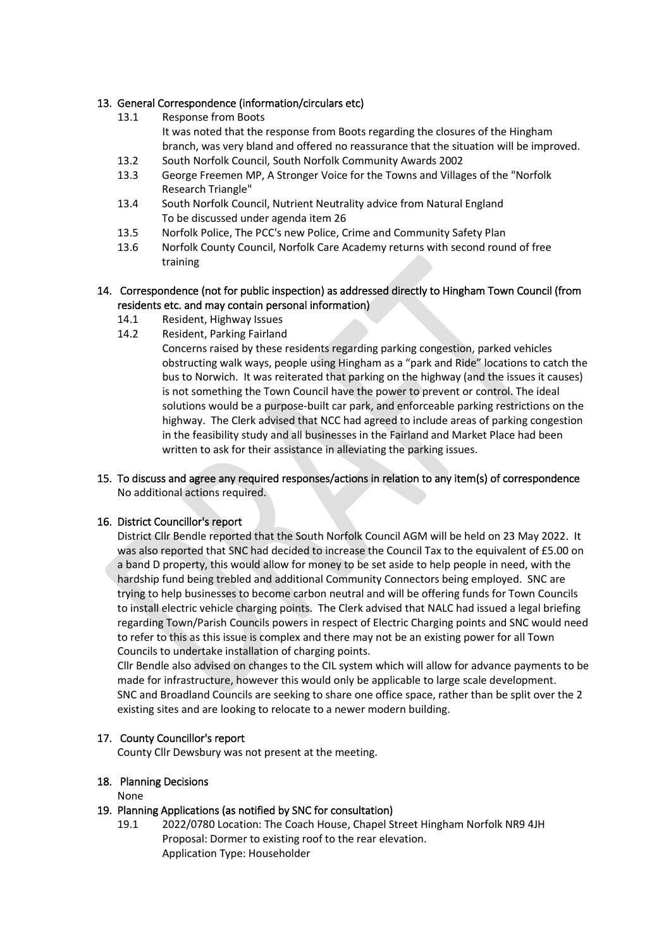## 13. General Correspondence (information/circulars etc)

- 13.1 Response from Boots It was noted that the response from Boots regarding the closures of the Hingham branch, was very bland and offered no reassurance that the situation will be improved.
- 13.2 South Norfolk Council, South Norfolk Community Awards 2002
- 13.3 George Freemen MP, A Stronger Voice for the Towns and Villages of the "Norfolk Research Triangle"
- 13.4 South Norfolk Council, Nutrient Neutrality advice from Natural England To be discussed under agenda item 26
- 13.5 Norfolk Police, The PCC's new Police, Crime and Community Safety Plan
- 13.6 Norfolk County Council, Norfolk Care Academy returns with second round of free training

## 14. Correspondence (not for public inspection) as addressed directly to Hingham Town Council (from residents etc. and may contain personal information)

- 14.1 Resident, Highway Issues
- 14.2 Resident, Parking Fairland
	- Concerns raised by these residents regarding parking congestion, parked vehicles obstructing walk ways, people using Hingham as a "park and Ride" locations to catch the bus to Norwich. It was reiterated that parking on the highway (and the issues it causes) is not something the Town Council have the power to prevent or control. The ideal solutions would be a purpose-built car park, and enforceable parking restrictions on the highway. The Clerk advised that NCC had agreed to include areas of parking congestion in the feasibility study and all businesses in the Fairland and Market Place had been written to ask for their assistance in alleviating the parking issues.

## 15. To discuss and agree any required responses/actions in relation to any item(s) of correspondence No additional actions required.

## 16. District Councillor's report

District Cllr Bendle reported that the South Norfolk Council AGM will be held on 23 May 2022. It was also reported that SNC had decided to increase the Council Tax to the equivalent of £5.00 on a band D property, this would allow for money to be set aside to help people in need, with the hardship fund being trebled and additional Community Connectors being employed. SNC are trying to help businesses to become carbon neutral and will be offering funds for Town Councils to install electric vehicle charging points. The Clerk advised that NALC had issued a legal briefing regarding Town/Parish Councils powers in respect of Electric Charging points and SNC would need to refer to this as this issue is complex and there may not be an existing power for all Town Councils to undertake installation of charging points.

Cllr Bendle also advised on changes to the CIL system which will allow for advance payments to be made for infrastructure, however this would only be applicable to large scale development. SNC and Broadland Councils are seeking to share one office space, rather than be split over the 2 existing sites and are looking to relocate to a newer modern building.

## 17. County Councillor's report

County Cllr Dewsbury was not present at the meeting.

## 18. Planning Decisions

None

## 19. Planning Applications (as notified by SNC for consultation)

19.1 2022/0780 Location: The Coach House, Chapel Street Hingham Norfolk NR9 4JH Proposal: Dormer to existing roof to the rear elevation. Application Type: Householder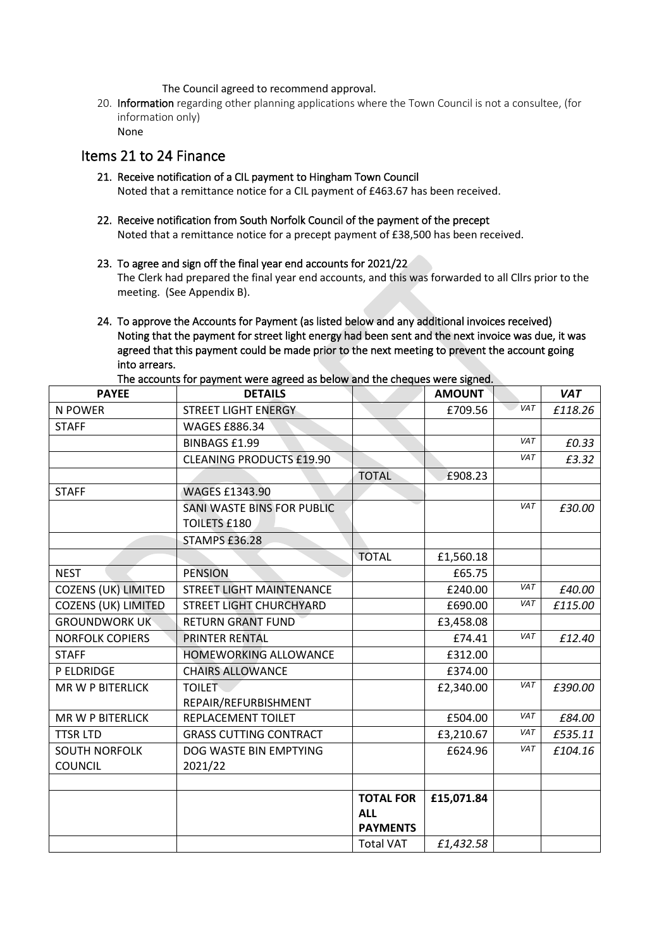The Council agreed to recommend approval.

20. Information regarding other planning applications where the Town Council is not a consultee, (for information only)

```
None
```
## Items 21 to 24 Finance

- 21. Receive notification of a CIL payment to Hingham Town Council Noted that a remittance notice for a CIL payment of £463.67 has been received.
- 22. Receive notification from South Norfolk Council of the payment of the precept Noted that a remittance notice for a precept payment of £38,500 has been received.
- 23. To agree and sign off the final year end accounts for 2021/22 The Clerk had prepared the final year end accounts, and this was forwarded to all Cllrs prior to the meeting. (See Appendix B).
- 24. To approve the Accounts for Payment (as listed below and any additional invoices received) Noting that the payment for street light energy had been sent and the next invoice was due, it was agreed that this payment could be made prior to the next meeting to prevent the account going into arrears.

| <b>PAYEE</b>               | <b>DETAILS</b>                  |                  | <b>AMOUNT</b> |            | <b>VAT</b> |
|----------------------------|---------------------------------|------------------|---------------|------------|------------|
| N POWER                    | STREET LIGHT ENERGY             |                  | £709.56       | VAT        | £118.26    |
| <b>STAFF</b>               | <b>WAGES £886.34</b>            |                  |               |            |            |
|                            | <b>BINBAGS £1.99</b>            |                  |               | <b>VAT</b> | £0.33      |
|                            | <b>CLEANING PRODUCTS £19.90</b> |                  |               | <b>VAT</b> | £3.32      |
|                            |                                 | <b>TOTAL</b>     | £908.23       |            |            |
| <b>STAFF</b>               | <b>WAGES £1343.90</b>           |                  |               |            |            |
|                            | SANI WASTE BINS FOR PUBLIC      |                  |               | <b>VAT</b> | £30.00     |
|                            | <b>TOILETS £180</b>             |                  |               |            |            |
|                            | STAMPS £36.28                   |                  |               |            |            |
|                            |                                 | <b>TOTAL</b>     | £1,560.18     |            |            |
| <b>NEST</b>                | <b>PENSION</b>                  |                  | £65.75        |            |            |
| <b>COZENS (UK) LIMITED</b> | <b>STREET LIGHT MAINTENANCE</b> |                  | £240.00       | VAT        | £40.00     |
| <b>COZENS (UK) LIMITED</b> | STREET LIGHT CHURCHYARD         |                  | £690.00       | <b>VAT</b> | £115.00    |
| <b>GROUNDWORK UK</b>       | <b>RETURN GRANT FUND</b>        |                  | £3,458.08     |            |            |
| <b>NORFOLK COPIERS</b>     | <b>PRINTER RENTAL</b>           |                  | £74.41        | <b>VAT</b> | £12.40     |
| <b>STAFF</b>               | <b>HOMEWORKING ALLOWANCE</b>    |                  | £312.00       |            |            |
| P ELDRIDGE                 | <b>CHAIRS ALLOWANCE</b>         |                  | £374.00       |            |            |
| <b>MR W P BITERLICK</b>    | <b>TOILET</b>                   |                  | £2,340.00     | <b>VAT</b> | £390.00    |
|                            | REPAIR/REFURBISHMENT            |                  |               |            |            |
| <b>MR W P BITERLICK</b>    | REPLACEMENT TOILET              |                  | £504.00       | <b>VAT</b> | £84.00     |
| <b>TTSR LTD</b>            | <b>GRASS CUTTING CONTRACT</b>   |                  | £3,210.67     | VAT        | £535.11    |
| <b>SOUTH NORFOLK</b>       | DOG WASTE BIN EMPTYING          |                  | £624.96       | VAT        | £104.16    |
| <b>COUNCIL</b>             | 2021/22                         |                  |               |            |            |
|                            |                                 |                  |               |            |            |
|                            |                                 | <b>TOTAL FOR</b> | £15,071.84    |            |            |
|                            |                                 | <b>ALL</b>       |               |            |            |
|                            |                                 | <b>PAYMENTS</b>  |               |            |            |
|                            |                                 | <b>Total VAT</b> | £1,432.58     |            |            |

The accounts for payment were agreed as below and the cheques were signed.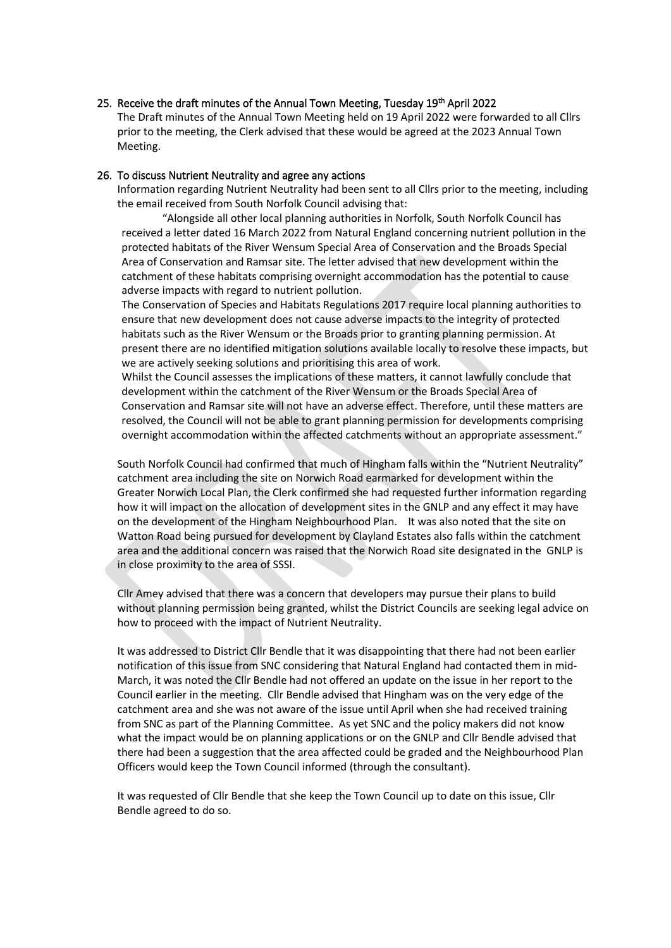#### 25. Receive the draft minutes of the Annual Town Meeting, Tuesday 19<sup>th</sup> April 2022

The Draft minutes of the Annual Town Meeting held on 19 April 2022 were forwarded to all Cllrs prior to the meeting, the Clerk advised that these would be agreed at the 2023 Annual Town Meeting.

#### 26. To discuss Nutrient Neutrality and agree any actions

Information regarding Nutrient Neutrality had been sent to all Cllrs prior to the meeting, including the email received from South Norfolk Council advising that:

"Alongside all other local planning authorities in Norfolk, South Norfolk Council has received a letter dated 16 March 2022 from Natural England concerning nutrient pollution in the protected habitats of the River Wensum Special Area of Conservation and the Broads Special Area of Conservation and Ramsar site. The letter advised that new development within the catchment of these habitats comprising overnight accommodation has the potential to cause adverse impacts with regard to nutrient pollution.

The Conservation of Species and Habitats Regulations 2017 require local planning authorities to ensure that new development does not cause adverse impacts to the integrity of protected habitats such as the River Wensum or the Broads prior to granting planning permission. At present there are no identified mitigation solutions available locally to resolve these impacts, but we are actively seeking solutions and prioritising this area of work.

Whilst the Council assesses the implications of these matters, it cannot lawfully conclude that development within the catchment of the River Wensum or the Broads Special Area of Conservation and Ramsar site will not have an adverse effect. Therefore, until these matters are resolved, the Council will not be able to grant planning permission for developments comprising overnight accommodation within the affected catchments without an appropriate assessment."

South Norfolk Council had confirmed that much of Hingham falls within the "Nutrient Neutrality" catchment area including the site on Norwich Road earmarked for development within the Greater Norwich Local Plan, the Clerk confirmed she had requested further information regarding how it will impact on the allocation of development sites in the GNLP and any effect it may have on the development of the Hingham Neighbourhood Plan. It was also noted that the site on Watton Road being pursued for development by Clayland Estates also falls within the catchment area and the additional concern was raised that the Norwich Road site designated in the GNLP is in close proximity to the area of SSSI.

Cllr Amey advised that there was a concern that developers may pursue their plans to build without planning permission being granted, whilst the District Councils are seeking legal advice on how to proceed with the impact of Nutrient Neutrality.

It was addressed to District Cllr Bendle that it was disappointing that there had not been earlier notification of this issue from SNC considering that Natural England had contacted them in mid-March, it was noted the Cllr Bendle had not offered an update on the issue in her report to the Council earlier in the meeting. Cllr Bendle advised that Hingham was on the very edge of the catchment area and she was not aware of the issue until April when she had received training from SNC as part of the Planning Committee. As yet SNC and the policy makers did not know what the impact would be on planning applications or on the GNLP and Cllr Bendle advised that there had been a suggestion that the area affected could be graded and the Neighbourhood Plan Officers would keep the Town Council informed (through the consultant).

It was requested of Cllr Bendle that she keep the Town Council up to date on this issue, Cllr Bendle agreed to do so.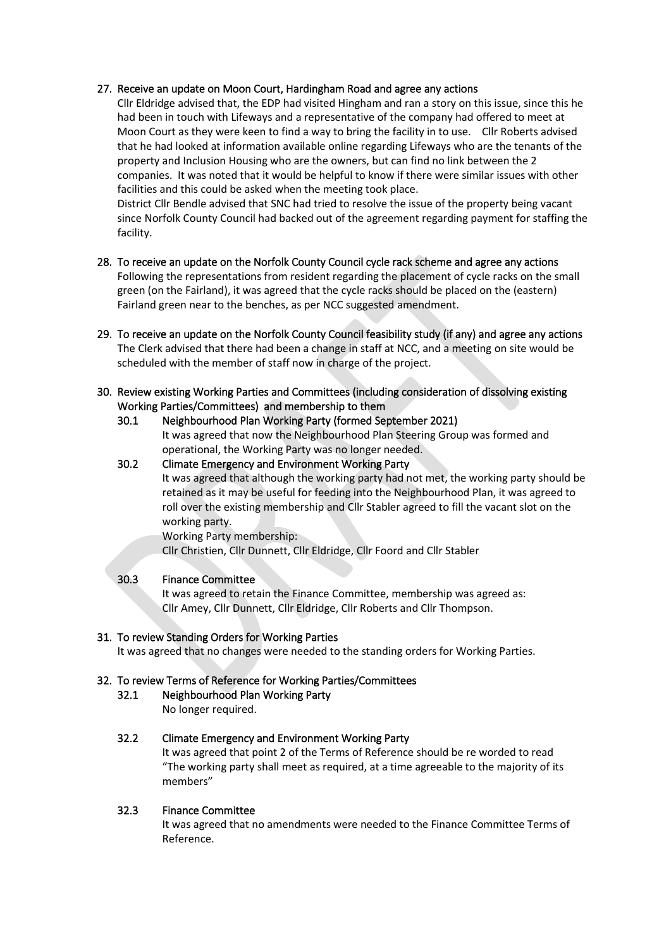## 27. Receive an update on Moon Court, Hardingham Road and agree any actions

Cllr Eldridge advised that, the EDP had visited Hingham and ran a story on this issue, since this he had been in touch with Lifeways and a representative of the company had offered to meet at Moon Court as they were keen to find a way to bring the facility in to use. Cllr Roberts advised that he had looked at information available online regarding Lifeways who are the tenants of the property and Inclusion Housing who are the owners, but can find no link between the 2 companies. It was noted that it would be helpful to know if there were similar issues with other facilities and this could be asked when the meeting took place.

District Cllr Bendle advised that SNC had tried to resolve the issue of the property being vacant since Norfolk County Council had backed out of the agreement regarding payment for staffing the facility.

- 28. To receive an update on the Norfolk County Council cycle rack scheme and agree any actions Following the representations from resident regarding the placement of cycle racks on the small green (on the Fairland), it was agreed that the cycle racks should be placed on the (eastern) Fairland green near to the benches, as per NCC suggested amendment.
- 29. To receive an update on the Norfolk County Council feasibility study (if any) and agree any actions The Clerk advised that there had been a change in staff at NCC, and a meeting on site would be scheduled with the member of staff now in charge of the project.
- 30. Review existing Working Parties and Committees (including consideration of dissolving existing Working Parties/Committees) and membership to them

#### 30.1 Neighbourhood Plan Working Party (formed September 2021)

It was agreed that now the Neighbourhood Plan Steering Group was formed and operational, the Working Party was no longer needed.

## 30.2 Climate Emergency and Environment Working Party

It was agreed that although the working party had not met, the working party should be retained as it may be useful for feeding into the Neighbourhood Plan, it was agreed to roll over the existing membership and Cllr Stabler agreed to fill the vacant slot on the working party.

Working Party membership:

Cllr Christien, Cllr Dunnett, Cllr Eldridge, Cllr Foord and Cllr Stabler

## 30.3 Finance Committee

It was agreed to retain the Finance Committee, membership was agreed as: Cllr Amey, Cllr Dunnett, Cllr Eldridge, Cllr Roberts and Cllr Thompson.

## 31. To review Standing Orders for Working Parties

It was agreed that no changes were needed to the standing orders for Working Parties.

## 32. To review Terms of Reference for Working Parties/Committees

## 32.1 Neighbourhood Plan Working Party

No longer required.

## 32.2 Climate Emergency and Environment Working Party

It was agreed that point 2 of the Terms of Reference should be re worded to read "The working party shall meet as required, at a time agreeable to the majority of its members"

## 32.3 Finance Committee

It was agreed that no amendments were needed to the Finance Committee Terms of Reference.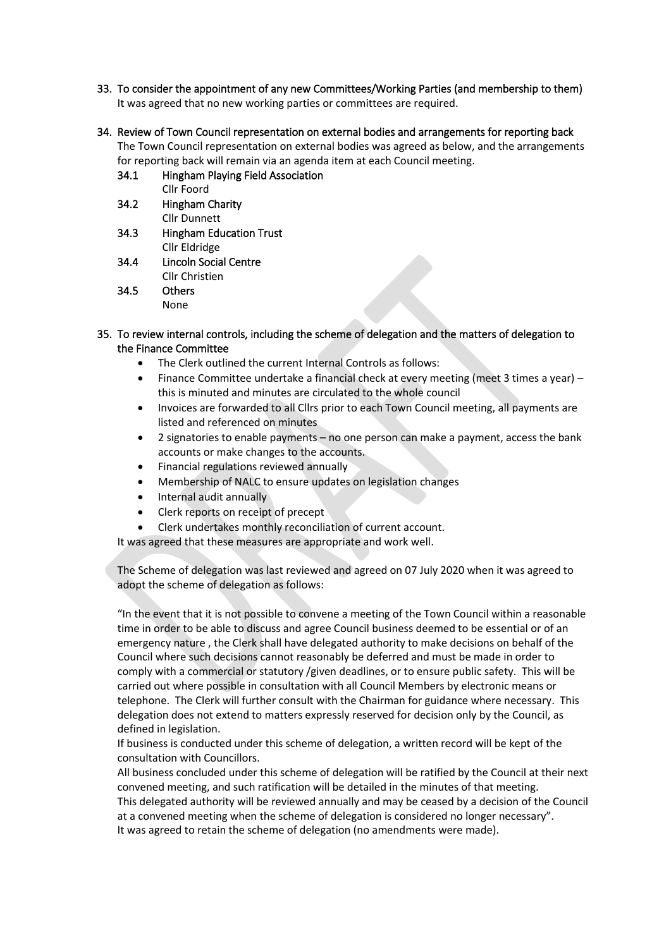- 33. To consider the appointment of any new Committees/Working Parties (and membership to them) It was agreed that no new working parties or committees are required.
- 34. Review of Town Council representation on external bodies and arrangements for reporting back The Town Council representation on external bodies was agreed as below, and the arrangements for reporting back will remain via an agenda item at each Council meeting.
	- 34.1 Hingham Playing Field Association Cllr Foord
	- 34.2 Hingham Charity Cllr Dunnett
	- 34.3 Hingham Education Trust Cllr Eldridge
	- 34.4 Lincoln Social Centre Cllr Christien
	- 34.5 Others None
- 35. To review internal controls, including the scheme of delegation and the matters of delegation to the Finance Committee
	- The Clerk outlined the current Internal Controls as follows:
	- Finance Committee undertake a financial check at every meeting (meet 3 times a year) this is minuted and minutes are circulated to the whole council
	- Invoices are forwarded to all Cllrs prior to each Town Council meeting, all payments are listed and referenced on minutes
	- 2 signatories to enable payments no one person can make a payment, access the bank accounts or make changes to the accounts.
	- Financial regulations reviewed annually
	- Membership of NALC to ensure updates on legislation changes
	- Internal audit annually
	- Clerk reports on receipt of precept
	- Clerk undertakes monthly reconciliation of current account.

It was agreed that these measures are appropriate and work well.

The Scheme of delegation was last reviewed and agreed on 07 July 2020 when it was agreed to adopt the scheme of delegation as follows:

"In the event that it is not possible to convene a meeting of the Town Council within a reasonable time in order to be able to discuss and agree Council business deemed to be essential or of an emergency nature , the Clerk shall have delegated authority to make decisions on behalf of the Council where such decisions cannot reasonably be deferred and must be made in order to comply with a commercial or statutory /given deadlines, or to ensure public safety. This will be carried out where possible in consultation with all Council Members by electronic means or telephone. The Clerk will further consult with the Chairman for guidance where necessary. This delegation does not extend to matters expressly reserved for decision only by the Council, as defined in legislation.

If business is conducted under this scheme of delegation, a written record will be kept of the consultation with Councillors.

All business concluded under this scheme of delegation will be ratified by the Council at their next convened meeting, and such ratification will be detailed in the minutes of that meeting. This delegated authority will be reviewed annually and may be ceased by a decision of the Council at a convened meeting when the scheme of delegation is considered no longer necessary". It was agreed to retain the scheme of delegation (no amendments were made).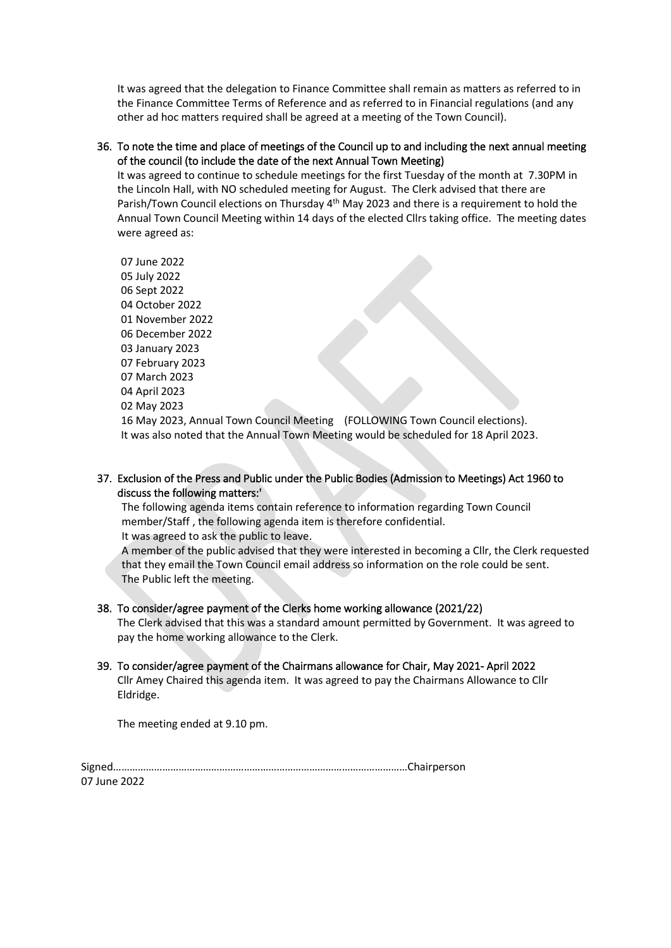It was agreed that the delegation to Finance Committee shall remain as matters as referred to in the Finance Committee Terms of Reference and as referred to in Financial regulations (and any other ad hoc matters required shall be agreed at a meeting of the Town Council).

## 36. To note the time and place of meetings of the Council up to and including the next annual meeting of the council (to include the date of the next Annual Town Meeting)

It was agreed to continue to schedule meetings for the first Tuesday of the month at 7.30PM in the Lincoln Hall, with NO scheduled meeting for August. The Clerk advised that there are Parish/Town Council elections on Thursday 4<sup>th</sup> May 2023 and there is a requirement to hold the Annual Town Council Meeting within 14 days of the elected Cllrs taking office. The meeting dates were agreed as:

07 June 2022 05 July 2022 06 Sept 2022 04 October 2022 01 November 2022 06 December 2022 03 January 2023 07 February 2023 07 March 2023 04 April 2023 02 May 2023 16 May 2023, Annual Town Council Meeting (FOLLOWING Town Council elections). It was also noted that the Annual Town Meeting would be scheduled for 18 April 2023.

## 37. Exclusion of the Press and Public under the Public Bodies (Admission to Meetings) Act 1960 to discuss the following matters:'

The following agenda items contain reference to information regarding Town Council member/Staff , the following agenda item is therefore confidential. It was agreed to ask the public to leave.

A member of the public advised that they were interested in becoming a Cllr, the Clerk requested that they email the Town Council email address so information on the role could be sent. The Public left the meeting.

## 38. To consider/agree payment of the Clerks home working allowance (2021/22)

The Clerk advised that this was a standard amount permitted by Government. It was agreed to pay the home working allowance to the Clerk.

## 39. To consider/agree payment of the Chairmans allowance for Chair, May 2021- April 2022 Cllr Amey Chaired this agenda item. It was agreed to pay the Chairmans Allowance to Cllr Eldridge.

The meeting ended at 9.10 pm.

| 07 June 2022 |  |
|--------------|--|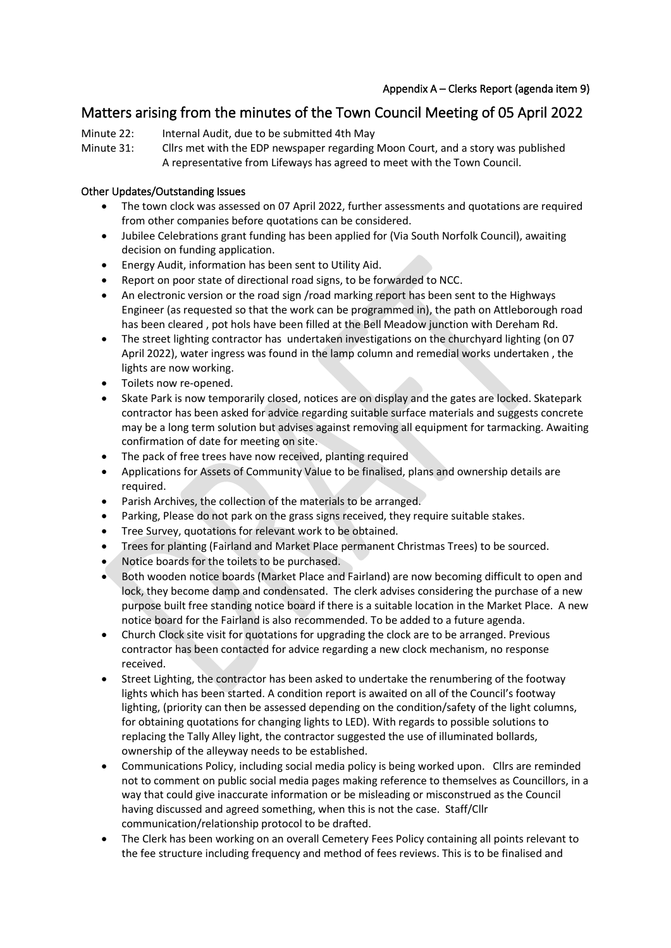## Matters arising from the minutes of the Town Council Meeting of 05 April 2022

- Minute 22: Internal Audit, due to be submitted 4th May
- Minute 31: Cllrs met with the EDP newspaper regarding Moon Court, and a story was published A representative from Lifeways has agreed to meet with the Town Council.

## Other Updates/Outstanding Issues

- The town clock was assessed on 07 April 2022, further assessments and quotations are required from other companies before quotations can be considered.
- Jubilee Celebrations grant funding has been applied for (Via South Norfolk Council), awaiting decision on funding application.
- Energy Audit, information has been sent to Utility Aid.
- Report on poor state of directional road signs, to be forwarded to NCC.
- An electronic version or the road sign /road marking report has been sent to the Highways Engineer (as requested so that the work can be programmed in), the path on Attleborough road has been cleared , pot hols have been filled at the Bell Meadow junction with Dereham Rd.
- The street lighting contractor has undertaken investigations on the churchyard lighting (on 07 April 2022), water ingress was found in the lamp column and remedial works undertaken , the lights are now working.
- Toilets now re-opened.
- Skate Park is now temporarily closed, notices are on display and the gates are locked. Skatepark contractor has been asked for advice regarding suitable surface materials and suggests concrete may be a long term solution but advises against removing all equipment for tarmacking. Awaiting confirmation of date for meeting on site.
- The pack of free trees have now received, planting required
- Applications for Assets of Community Value to be finalised, plans and ownership details are required.
- Parish Archives, the collection of the materials to be arranged.
- Parking, Please do not park on the grass signs received, they require suitable stakes.
- Tree Survey, quotations for relevant work to be obtained.
- Trees for planting (Fairland and Market Place permanent Christmas Trees) to be sourced.
- Notice boards for the toilets to be purchased.
- Both wooden notice boards (Market Place and Fairland) are now becoming difficult to open and lock, they become damp and condensated. The clerk advises considering the purchase of a new purpose built free standing notice board if there is a suitable location in the Market Place. A new notice board for the Fairland is also recommended. To be added to a future agenda.
- Church Clock site visit for quotations for upgrading the clock are to be arranged. Previous contractor has been contacted for advice regarding a new clock mechanism, no response received.
- Street Lighting, the contractor has been asked to undertake the renumbering of the footway lights which has been started. A condition report is awaited on all of the Council's footway lighting, (priority can then be assessed depending on the condition/safety of the light columns, for obtaining quotations for changing lights to LED). With regards to possible solutions to replacing the Tally Alley light, the contractor suggested the use of illuminated bollards, ownership of the alleyway needs to be established.
- Communications Policy, including social media policy is being worked upon. Cllrs are reminded not to comment on public social media pages making reference to themselves as Councillors, in a way that could give inaccurate information or be misleading or misconstrued as the Council having discussed and agreed something, when this is not the case. Staff/Cllr communication/relationship protocol to be drafted.
- The Clerk has been working on an overall Cemetery Fees Policy containing all points relevant to the fee structure including frequency and method of fees reviews. This is to be finalised and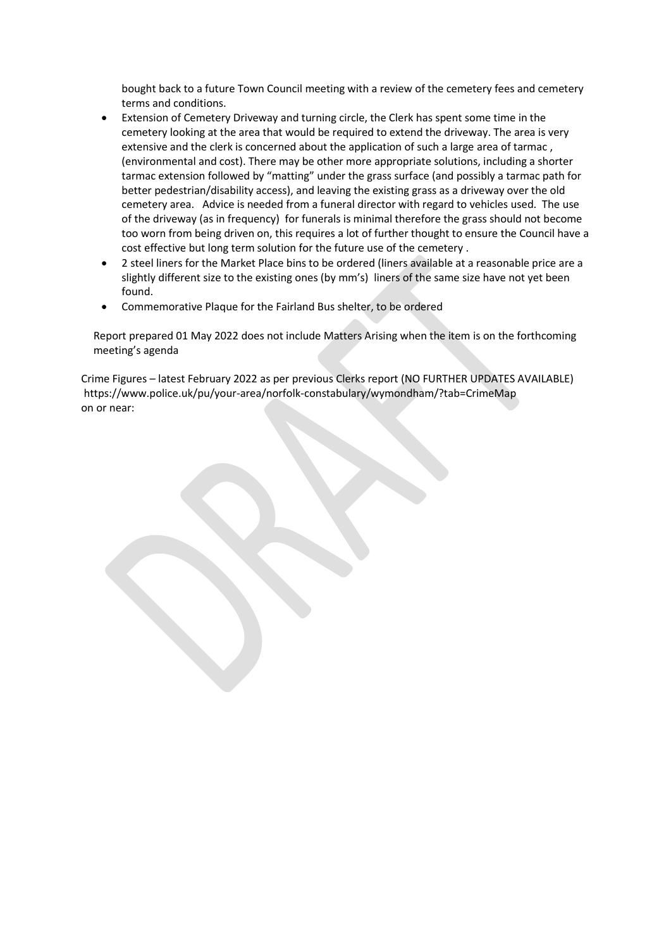bought back to a future Town Council meeting with a review of the cemetery fees and cemetery terms and conditions.

- Extension of Cemetery Driveway and turning circle, the Clerk has spent some time in the cemetery looking at the area that would be required to extend the driveway. The area is very extensive and the clerk is concerned about the application of such a large area of tarmac , (environmental and cost). There may be other more appropriate solutions, including a shorter tarmac extension followed by "matting" under the grass surface (and possibly a tarmac path for better pedestrian/disability access), and leaving the existing grass as a driveway over the old cemetery area. Advice is needed from a funeral director with regard to vehicles used. The use of the driveway (as in frequency) for funerals is minimal therefore the grass should not become too worn from being driven on, this requires a lot of further thought to ensure the Council have a cost effective but long term solution for the future use of the cemetery .
- 2 steel liners for the Market Place bins to be ordered (liners available at a reasonable price are a slightly different size to the existing ones (by mm's) liners of the same size have not yet been found.
- Commemorative Plaque for the Fairland Bus shelter, to be ordered

Report prepared 01 May 2022 does not include Matters Arising when the item is on the forthcoming meeting's agenda

Crime Figures – latest February 2022 as per previous Clerks report (NO FURTHER UPDATES AVAILABLE) https://www.police.uk/pu/your-area/norfolk-constabulary/wymondham/?tab=CrimeMap on or near: